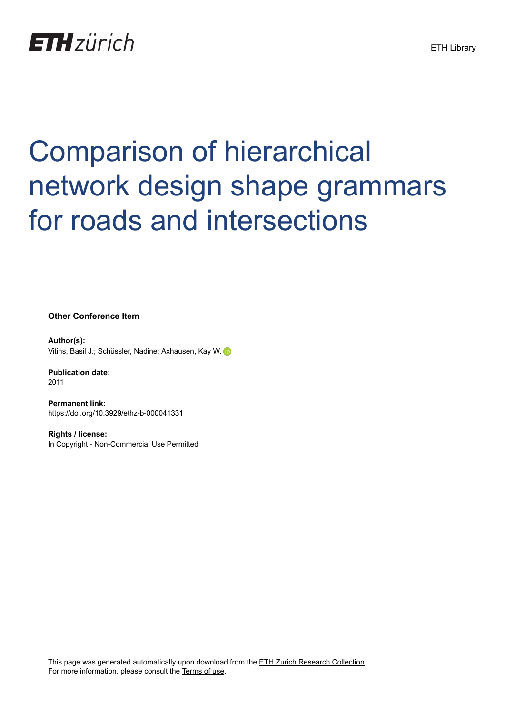# **ETH**zürich

# Comparison of hierarchical network design shape grammars for roads and intersections

**Other Conference Item**

**Author(s):** Vitins, Basil J.; Schüssler, Nadine; [Axhausen, Kay W.](https://orcid.org/0000-0003-3331-1318) D

**Publication date:** 2011

**Permanent link:** <https://doi.org/10.3929/ethz-b-000041331>

**Rights / license:** [In Copyright - Non-Commercial Use Permitted](http://rightsstatements.org/page/InC-NC/1.0/)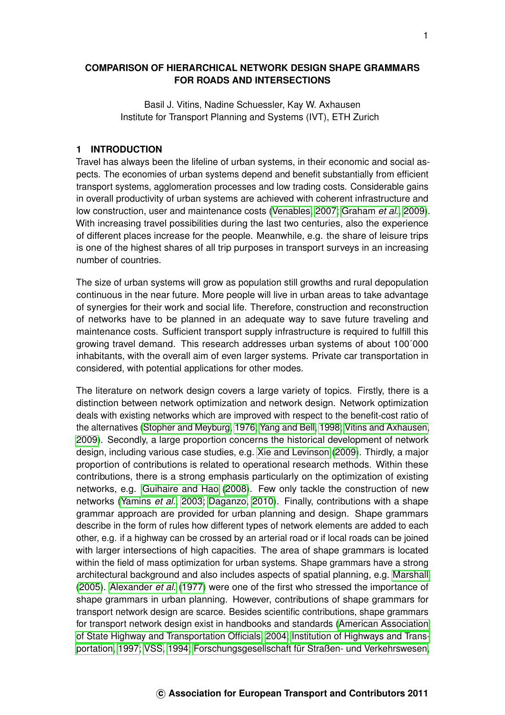## **COMPARISON OF HIERARCHICAL NETWORK DESIGN SHAPE GRAMMARS FOR ROADS AND INTERSECTIONS**

Basil J. Vitins, Nadine Schuessler, Kay W. Axhausen Institute for Transport Planning and Systems (IVT), ETH Zurich

#### **1 INTRODUCTION**

Travel has always been the lifeline of urban systems, in their economic and social aspects. The economies of urban systems depend and benefit substantially from efficient transport systems, agglomeration processes and low trading costs. Considerable gains in overall productivity of urban systems are achieved with coherent infrastructure and low construction, user and maintenance costs [\(Venables, 2007;](#page-17-0) [Graham](#page-16-0) *et al.*, [2009\)](#page-16-0). With increasing travel possibilities during the last two centuries, also the experience of different places increase for the people. Meanwhile, e.g. the share of leisure trips is one of the highest shares of all trip purposes in transport surveys in an increasing number of countries.

The size of urban systems will grow as population still growths and rural depopulation continuous in the near future. More people will live in urban areas to take advantage of synergies for their work and social life. Therefore, construction and reconstruction of networks have to be planned in an adequate way to save future traveling and maintenance costs. Sufficient transport supply infrastructure is required to fulfill this growing travel demand. This research addresses urban systems of about 100´000 inhabitants, with the overall aim of even larger systems. Private car transportation in considered, with potential applications for other modes.

The literature on network design covers a large variety of topics. Firstly, there is a distinction between network optimization and network design. Network optimization deals with existing networks which are improved with respect to the benefit-cost ratio of the alternatives [\(Stopher and Meyburg, 1976;](#page-17-1) [Yang and Bell, 1998;](#page-18-0) [Vitins and Axhausen,](#page-17-2) [2009\)](#page-17-2). Secondly, a large proportion concerns the historical development of network design, including various case studies, e.g. [Xie and Levinson](#page-18-1) [\(2009\)](#page-18-1). Thirdly, a major proportion of contributions is related to operational research methods. Within these contributions, there is a strong emphasis particularly on the optimization of existing networks, e.g. [Guihaire and Hao](#page-16-1) [\(2008\)](#page-16-1). Few only tackle the construction of new networks [\(Yamins](#page-18-2) *et al.*, [2003;](#page-18-2) [Daganzo, 2010\)](#page-16-2). Finally, contributions with a shape grammar approach are provided for urban planning and design. Shape grammars describe in the form of rules how different types of network elements are added to each other, e.g. if a highway can be crossed by an arterial road or if local roads can be joined with larger intersections of high capacities. The area of shape grammars is located within the field of mass optimization for urban systems. Shape grammars have a strong architectural background and also includes aspects of spatial planning, e.g. [Marshall](#page-17-3) [\(2005\)](#page-17-3). [Alexander](#page-16-3) *et al.* [\(1977\)](#page-16-3) were one of the first who stressed the importance of shape grammars in urban planning. However, contributions of shape grammars for transport network design are scarce. Besides scientific contributions, shape grammars for transport network design exist in handbooks and standards [\(American Association](#page-16-4) [of State Highway and Transportation Officials, 2004;](#page-16-4) [Institution of Highways and Trans](#page-17-4)[portation, 1997;](#page-17-4) [VSS, 1994;](#page-17-5) [Forschungsgesellschaft für Straßen- und Verkehrswesen,](#page-16-5)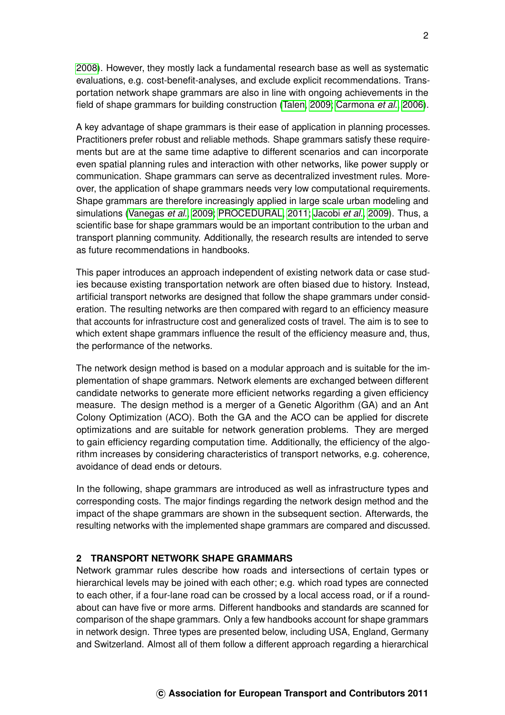[2008\)](#page-16-5). However, they mostly lack a fundamental research base as well as systematic evaluations, e.g. cost-benefit-analyses, and exclude explicit recommendations. Transportation network shape grammars are also in line with ongoing achievements in the field of shape grammars for building construction [\(Talen, 2009;](#page-17-6) [Carmona](#page-16-6) *et al.*, [2006\)](#page-16-6).

A key advantage of shape grammars is their ease of application in planning processes. Practitioners prefer robust and reliable methods. Shape grammars satisfy these requirements but are at the same time adaptive to different scenarios and can incorporate even spatial planning rules and interaction with other networks, like power supply or communication. Shape grammars can serve as decentralized investment rules. Moreover, the application of shape grammars needs very low computational requirements. Shape grammars are therefore increasingly applied in large scale urban modeling and simulations [\(Vanegas](#page-17-7) *et al.*, [2009;](#page-17-7) [PROCEDURAL, 2011;](#page-17-8) [Jacobi](#page-17-9) *et al.*, [2009\)](#page-17-9). Thus, a scientific base for shape grammars would be an important contribution to the urban and transport planning community. Additionally, the research results are intended to serve as future recommendations in handbooks.

This paper introduces an approach independent of existing network data or case studies because existing transportation network are often biased due to history. Instead, artificial transport networks are designed that follow the shape grammars under consideration. The resulting networks are then compared with regard to an efficiency measure that accounts for infrastructure cost and generalized costs of travel. The aim is to see to which extent shape grammars influence the result of the efficiency measure and, thus, the performance of the networks.

The network design method is based on a modular approach and is suitable for the implementation of shape grammars. Network elements are exchanged between different candidate networks to generate more efficient networks regarding a given efficiency measure. The design method is a merger of a Genetic Algorithm (GA) and an Ant Colony Optimization (ACO). Both the GA and the ACO can be applied for discrete optimizations and are suitable for network generation problems. They are merged to gain efficiency regarding computation time. Additionally, the efficiency of the algorithm increases by considering characteristics of transport networks, e.g. coherence, avoidance of dead ends or detours.

In the following, shape grammars are introduced as well as infrastructure types and corresponding costs. The major findings regarding the network design method and the impact of the shape grammars are shown in the subsequent section. Afterwards, the resulting networks with the implemented shape grammars are compared and discussed.

## **2 TRANSPORT NETWORK SHAPE GRAMMARS**

Network grammar rules describe how roads and intersections of certain types or hierarchical levels may be joined with each other; e.g. which road types are connected to each other, if a four-lane road can be crossed by a local access road, or if a roundabout can have five or more arms. Different handbooks and standards are scanned for comparison of the shape grammars. Only a few handbooks account for shape grammars in network design. Three types are presented below, including USA, England, Germany and Switzerland. Almost all of them follow a different approach regarding a hierarchical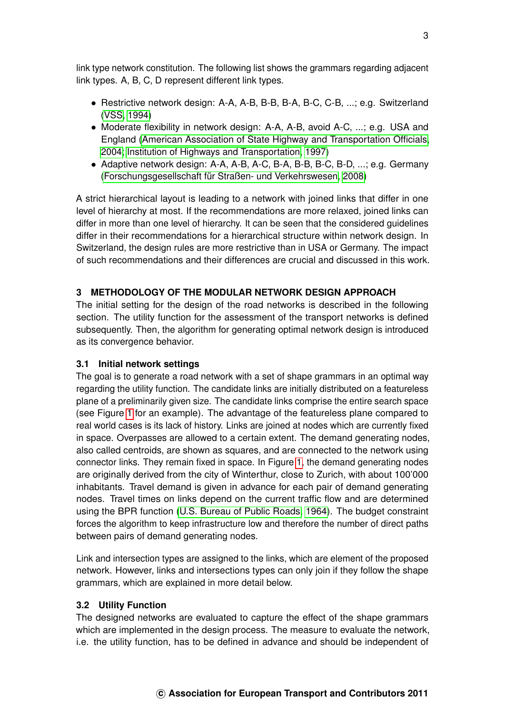link type network constitution. The following list shows the grammars regarding adjacent link types. A, B, C, D represent different link types.

- Restrictive network design: A-A, A-B, B-B, B-A, B-C, C-B, ...; e.g. Switzerland [\(VSS, 1994\)](#page-17-5)
- Moderate flexibility in network design: A-A, A-B, avoid A-C, ...; e.g. USA and England [\(American Association of State Highway and Transportation Officials,](#page-16-4) [2004;](#page-16-4) [Institution of Highways and Transportation, 1997\)](#page-17-4)
- Adaptive network design: A-A, A-B, A-C, B-A, B-B, B-C, B-D, ...; e.g. Germany [\(Forschungsgesellschaft für Straßen- und Verkehrswesen, 2008\)](#page-16-5)

A strict hierarchical layout is leading to a network with joined links that differ in one level of hierarchy at most. If the recommendations are more relaxed, joined links can differ in more than one level of hierarchy. It can be seen that the considered guidelines differ in their recommendations for a hierarchical structure within network design. In Switzerland, the design rules are more restrictive than in USA or Germany. The impact of such recommendations and their differences are crucial and discussed in this work.

# **3 METHODOLOGY OF THE MODULAR NETWORK DESIGN APPROACH**

The initial setting for the design of the road networks is described in the following section. The utility function for the assessment of the transport networks is defined subsequently. Then, the algorithm for generating optimal network design is introduced as its convergence behavior.

## **3.1 Initial network settings**

The goal is to generate a road network with a set of shape grammars in an optimal way regarding the utility function. The candidate links are initially distributed on a featureless plane of a preliminarily given size. The candidate links comprise the entire search space (see Figure [1](#page-4-0) for an example). The advantage of the featureless plane compared to real world cases is its lack of history. Links are joined at nodes which are currently fixed in space. Overpasses are allowed to a certain extent. The demand generating nodes, also called centroids, are shown as squares, and are connected to the network using connector links. They remain fixed in space. In Figure [1,](#page-4-0) the demand generating nodes are originally derived from the city of Winterthur, close to Zurich, with about 100'000 inhabitants. Travel demand is given in advance for each pair of demand generating nodes. Travel times on links depend on the current traffic flow and are determined using the BPR function [\(U.S. Bureau of Public Roads, 1964\)](#page-17-10). The budget constraint forces the algorithm to keep infrastructure low and therefore the number of direct paths between pairs of demand generating nodes.

Link and intersection types are assigned to the links, which are element of the proposed network. However, links and intersections types can only join if they follow the shape grammars, which are explained in more detail below.

#### **3.2 Utility Function**

The designed networks are evaluated to capture the effect of the shape grammars which are implemented in the design process. The measure to evaluate the network, i.e. the utility function, has to be defined in advance and should be independent of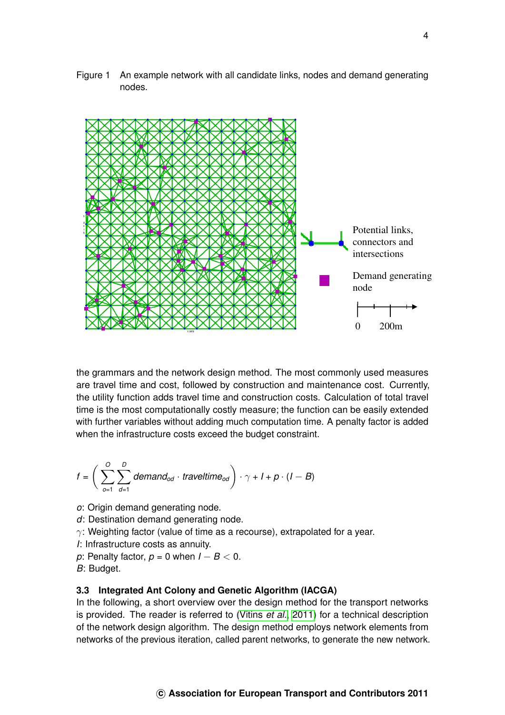<span id="page-4-0"></span>Figure 1 An example network with all candidate links, nodes and demand generating nodes.



the grammars and the network design method. The most commonly used measures are travel time and cost, followed by construction and maintenance cost. Currently, the utility function adds travel time and construction costs. Calculation of total travel time is the most computationally costly measure; the function can be easily extended with further variables without adding much computation time. A penalty factor is added when the infrastructure costs exceed the budget constraint.

$$
f = \left(\sum_{o=1}^{O} \sum_{d=1}^{D} demand_{od} \cdot \text{traveltime}_{od}\right) \cdot \gamma + I + p \cdot (I - B)
$$

- *o*: Origin demand generating node.
- *d*: Destination demand generating node.
- $\gamma$ : Weighting factor (value of time as a recourse), extrapolated for a year.
- *I*: Infrastructure costs as annuity.
- *p*: Penalty factor, *p* = 0 when *I* − *B* < 0. *B*: Budget.

## **3.3 Integrated Ant Colony and Genetic Algorithm (IACGA)**

In the following, a short overview over the design method for the transport networks is provided. The reader is referred to [\(Vitins](#page-17-11) *et al.*, [2011\)](#page-17-11) for a technical description of the network design algorithm. The design method employs network elements from networks of the previous iteration, called parent networks, to generate the new network.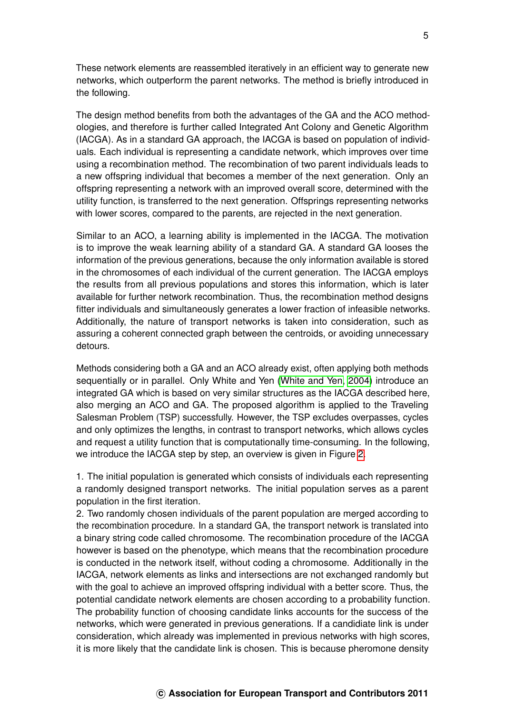These network elements are reassembled iteratively in an efficient way to generate new networks, which outperform the parent networks. The method is briefly introduced in the following.

The design method benefits from both the advantages of the GA and the ACO methodologies, and therefore is further called Integrated Ant Colony and Genetic Algorithm (IACGA). As in a standard GA approach, the IACGA is based on population of individuals. Each individual is representing a candidate network, which improves over time using a recombination method. The recombination of two parent individuals leads to a new offspring individual that becomes a member of the next generation. Only an offspring representing a network with an improved overall score, determined with the utility function, is transferred to the next generation. Offsprings representing networks with lower scores, compared to the parents, are rejected in the next generation.

Similar to an ACO, a learning ability is implemented in the IACGA. The motivation is to improve the weak learning ability of a standard GA. A standard GA looses the information of the previous generations, because the only information available is stored in the chromosomes of each individual of the current generation. The IACGA employs the results from all previous populations and stores this information, which is later available for further network recombination. Thus, the recombination method designs fitter individuals and simultaneously generates a lower fraction of infeasible networks. Additionally, the nature of transport networks is taken into consideration, such as assuring a coherent connected graph between the centroids, or avoiding unnecessary detours.

Methods considering both a GA and an ACO already exist, often applying both methods sequentially or in parallel. Only White and Yen [\(White and Yen, 2004\)](#page-17-12) introduce an integrated GA which is based on very similar structures as the IACGA described here, also merging an ACO and GA. The proposed algorithm is applied to the Traveling Salesman Problem (TSP) successfully. However, the TSP excludes overpasses, cycles and only optimizes the lengths, in contrast to transport networks, which allows cycles and request a utility function that is computationally time-consuming. In the following, we introduce the IACGA step by step, an overview is given in Figure [2.](#page-7-0)

1. The initial population is generated which consists of individuals each representing a randomly designed transport networks. The initial population serves as a parent population in the first iteration.

2. Two randomly chosen individuals of the parent population are merged according to the recombination procedure. In a standard GA, the transport network is translated into a binary string code called chromosome. The recombination procedure of the IACGA however is based on the phenotype, which means that the recombination procedure is conducted in the network itself, without coding a chromosome. Additionally in the IACGA, network elements as links and intersections are not exchanged randomly but with the goal to achieve an improved offspring individual with a better score. Thus, the potential candidate network elements are chosen according to a probability function. The probability function of choosing candidate links accounts for the success of the networks, which were generated in previous generations. If a candidiate link is under consideration, which already was implemented in previous networks with high scores, it is more likely that the candidate link is chosen. This is because pheromone density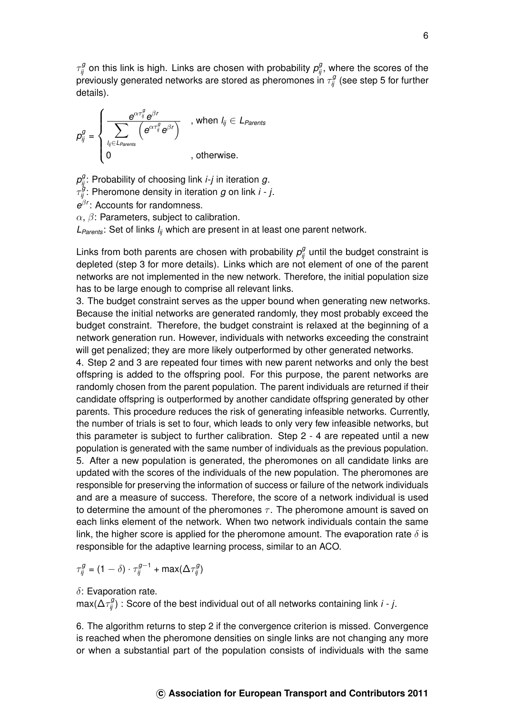$\tau_{ij}^g$  on this link is high. Links are chosen with probability  $\rho_{ij}^g$ , where the scores of the previously generated networks are stored as pheromones in  $\tau_{ij}^g$  (see step 5 for further details).

 $p_{ij}^g =$  $\sqrt{ }$  $\int$  $\overline{\mathcal{L}}$  $e^{\alpha \tau_{ij}^g}e^{\beta t}$  $\sum$ *l ij*∈*LParents*  $\overline{\left(e^{\alpha \tau_{ij}^g}e^{\beta r}\right]}$ , when  $l_{ij} \in L_{\text{Parents}}$ 0 , otherwise.

 $\rho_{ij}^g$ : Probability of choosing link *i-j* in iteration  $g$ .

 $\tau_{ij}^{\boldsymbol{\mathcal{G}}}$ : Pheromone density in iteration  $g$  on link *i* - *j*.

*e* β*r* : Accounts for randomness.

 $\alpha$ ,  $\beta$ : Parameters, subject to calibration.

*LParents*: Set of links *lij* which are present in at least one parent network.

Links from both parents are chosen with probability  $p_{ij}^g$  until the budget constraint is depleted (step 3 for more details). Links which are not element of one of the parent networks are not implemented in the new network. Therefore, the initial population size has to be large enough to comprise all relevant links.

3. The budget constraint serves as the upper bound when generating new networks. Because the initial networks are generated randomly, they most probably exceed the budget constraint. Therefore, the budget constraint is relaxed at the beginning of a network generation run. However, individuals with networks exceeding the constraint will get penalized; they are more likely outperformed by other generated networks.

4. Step 2 and 3 are repeated four times with new parent networks and only the best offspring is added to the offspring pool. For this purpose, the parent networks are randomly chosen from the parent population. The parent individuals are returned if their candidate offspring is outperformed by another candidate offspring generated by other parents. This procedure reduces the risk of generating infeasible networks. Currently, the number of trials is set to four, which leads to only very few infeasible networks, but this parameter is subject to further calibration. Step 2 - 4 are repeated until a new population is generated with the same number of individuals as the previous population. 5. After a new population is generated, the pheromones on all candidate links are updated with the scores of the individuals of the new population. The pheromones are responsible for preserving the information of success or failure of the network individuals and are a measure of success. Therefore, the score of a network individual is used to determine the amount of the pheromones  $\tau$ . The pheromone amount is saved on each links element of the network. When two network individuals contain the same link, the higher score is applied for the pheromone amount. The evaporation rate  $\delta$  is responsible for the adaptive learning process, similar to an ACO.

$$
\tau^g_{ij} = (1-\delta) \cdot \tau^{g-1}_{ij} + \text{max}(\Delta \tau^g_{ij})
$$

 $\delta$ : Evaporation rate.

 $\max(\Delta \tau_{ij}^g)$  : Score of the best individual out of all networks containing link *i − j*.

6. The algorithm returns to step 2 if the convergence criterion is missed. Convergence is reached when the pheromone densities on single links are not changing any more or when a substantial part of the population consists of individuals with the same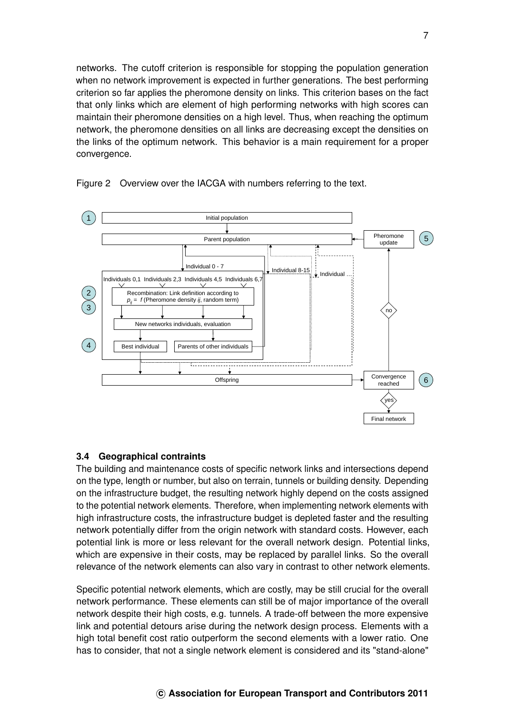networks. The cutoff criterion is responsible for stopping the population generation when no network improvement is expected in further generations. The best performing criterion so far applies the pheromone density on links. This criterion bases on the fact that only links which are element of high performing networks with high scores can maintain their pheromone densities on a high level. Thus, when reaching the optimum network, the pheromone densities on all links are decreasing except the densities on the links of the optimum network. This behavior is a main requirement for a proper convergence.



<span id="page-7-0"></span>Figure 2 Overview over the IACGA with numbers referring to the text.

## **3.4 Geographical contraints**

The building and maintenance costs of specific network links and intersections depend on the type, length or number, but also on terrain, tunnels or building density. Depending on the infrastructure budget, the resulting network highly depend on the costs assigned to the potential network elements. Therefore, when implementing network elements with high infrastructure costs, the infrastructure budget is depleted faster and the resulting network potentially differ from the origin network with standard costs. However, each potential link is more or less relevant for the overall network design. Potential links, which are expensive in their costs, may be replaced by parallel links. So the overall relevance of the network elements can also vary in contrast to other network elements.

Specific potential network elements, which are costly, may be still crucial for the overall network performance. These elements can still be of major importance of the overall network despite their high costs, e.g. tunnels. A trade-off between the more expensive link and potential detours arise during the network design process. Elements with a high total benefit cost ratio outperform the second elements with a lower ratio. One has to consider, that not a single network element is considered and its "stand-alone"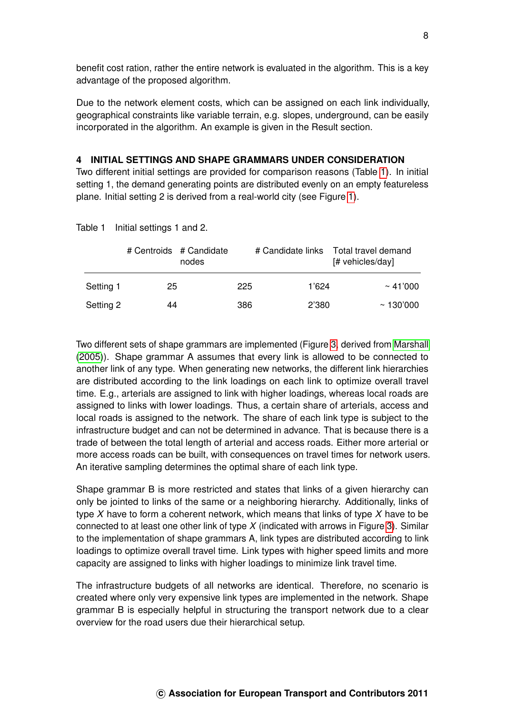benefit cost ration, rather the entire network is evaluated in the algorithm. This is a key advantage of the proposed algorithm.

Due to the network element costs, which can be assigned on each link individually, geographical constraints like variable terrain, e.g. slopes, underground, can be easily incorporated in the algorithm. An example is given in the Result section.

#### **4 INITIAL SETTINGS AND SHAPE GRAMMARS UNDER CONSIDERATION**

Two different initial settings are provided for comparison reasons (Table [1\)](#page-8-0). In initial setting 1, the demand generating points are distributed evenly on an empty featureless plane. Initial setting 2 is derived from a real-world city (see Figure [1\)](#page-4-0).

|           |    | # Centroids # Candidate<br>nodes |     | # Candidate links | Total travel demand<br>[# vehicles/day] |
|-----------|----|----------------------------------|-----|-------------------|-----------------------------------------|
| Setting 1 | 25 |                                  | 225 | 1'624             | $\sim 41'000$                           |
| Setting 2 | 44 |                                  | 386 | 2'380             | $~\sim$ 130'000                         |

<span id="page-8-0"></span>Table 1 Initial settings 1 and 2.

Two different sets of shape grammars are implemented (Figure [3,](#page-9-0) derived from [Marshall](#page-17-3) [\(2005\)](#page-17-3)). Shape grammar A assumes that every link is allowed to be connected to another link of any type. When generating new networks, the different link hierarchies are distributed according to the link loadings on each link to optimize overall travel time. E.g., arterials are assigned to link with higher loadings, whereas local roads are assigned to links with lower loadings. Thus, a certain share of arterials, access and local roads is assigned to the network. The share of each link type is subject to the infrastructure budget and can not be determined in advance. That is because there is a trade of between the total length of arterial and access roads. Either more arterial or more access roads can be built, with consequences on travel times for network users. An iterative sampling determines the optimal share of each link type.

Shape grammar B is more restricted and states that links of a given hierarchy can only be jointed to links of the same or a neighboring hierarchy. Additionally, links of type *X* have to form a coherent network, which means that links of type *X* have to be connected to at least one other link of type *X* (indicated with arrows in Figure [3\)](#page-9-0). Similar to the implementation of shape grammars A, link types are distributed according to link loadings to optimize overall travel time. Link types with higher speed limits and more capacity are assigned to links with higher loadings to minimize link travel time.

The infrastructure budgets of all networks are identical. Therefore, no scenario is created where only very expensive link types are implemented in the network. Shape grammar B is especially helpful in structuring the transport network due to a clear overview for the road users due their hierarchical setup.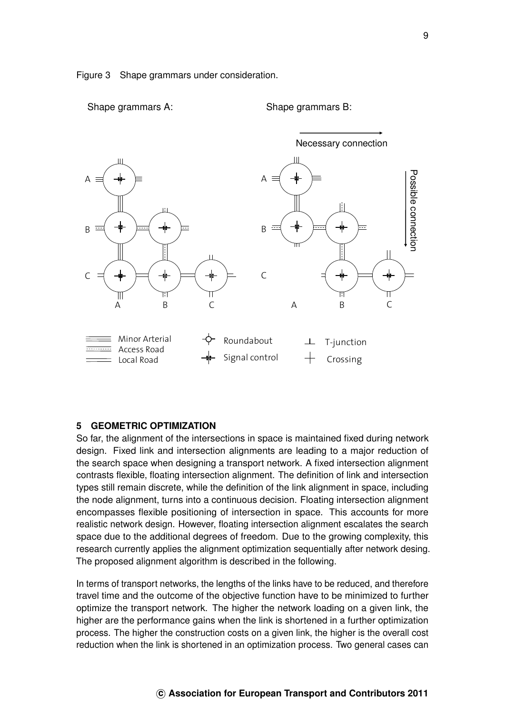<span id="page-9-0"></span>

Shape grammars A: Shape grammars B:



#### **5 GEOMETRIC OPTIMIZATION**

So far, the alignment of the intersections in space is maintained fixed during network design. Fixed link and intersection alignments are leading to a major reduction of the search space when designing a transport network. A fixed intersection alignment contrasts flexible, floating intersection alignment. The definition of link and intersection types still remain discrete, while the definition of the link alignment in space, including the node alignment, turns into a continuous decision. Floating intersection alignment encompasses flexible positioning of intersection in space. This accounts for more realistic network design. However, floating intersection alignment escalates the search space due to the additional degrees of freedom. Due to the growing complexity, this research currently applies the alignment optimization sequentially after network desing. The proposed alignment algorithm is described in the following.

In terms of transport networks, the lengths of the links have to be reduced, and therefore travel time and the outcome of the objective function have to be minimized to further optimize the transport network. The higher the network loading on a given link, the higher are the performance gains when the link is shortened in a further optimization process. The higher the construction costs on a given link, the higher is the overall cost reduction when the link is shortened in an optimization process. Two general cases can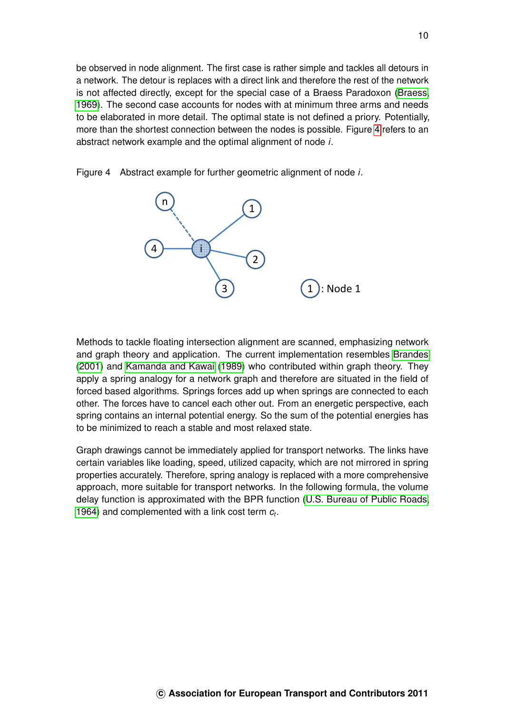be observed in node alignment. The first case is rather simple and tackles all detours in a network. The detour is replaces with a direct link and therefore the rest of the network is not affected directly, except for the special case of a Braess Paradoxon [\(Braess,](#page-16-7) [1969\)](#page-16-7). The second case accounts for nodes with at minimum three arms and needs to be elaborated in more detail. The optimal state is not defined a priory. Potentially, more than the shortest connection between the nodes is possible. Figure [4](#page-10-0) refers to an abstract network example and the optimal alignment of node *i*.



<span id="page-10-0"></span>Figure 4 Abstract example for further geometric alignment of node *i*.

Methods to tackle floating intersection alignment are scanned, emphasizing network and graph theory and application. The current implementation resembles [Brandes](#page-16-8) [\(2001\)](#page-16-8) and [Kamanda and Kawai](#page-17-13) [\(1989\)](#page-17-13) who contributed within graph theory. They apply a spring analogy for a network graph and therefore are situated in the field of forced based algorithms. Springs forces add up when springs are connected to each other. The forces have to cancel each other out. From an energetic perspective, each spring contains an internal potential energy. So the sum of the potential energies has to be minimized to reach a stable and most relaxed state.

Graph drawings cannot be immediately applied for transport networks. The links have certain variables like loading, speed, utilized capacity, which are not mirrored in spring properties accurately. Therefore, spring analogy is replaced with a more comprehensive approach, more suitable for transport networks. In the following formula, the volume delay function is approximated with the BPR function [\(U.S. Bureau of Public Roads,](#page-17-10) [1964\)](#page-17-10) and complemented with a link cost term *c<sup>t</sup>* .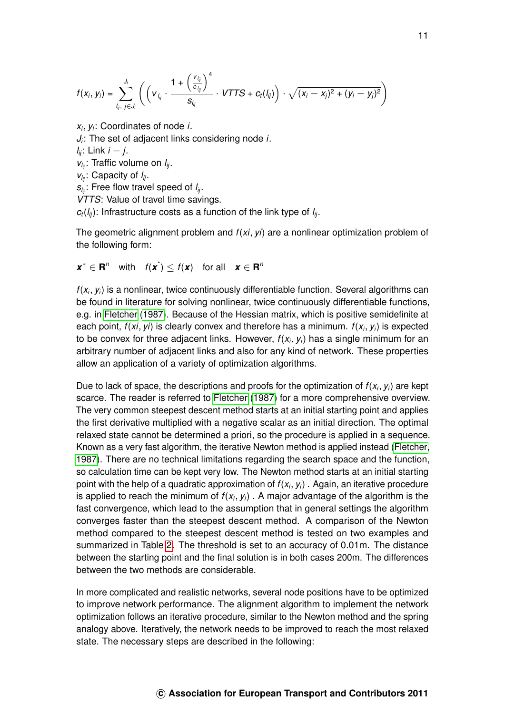$$
f(x_i, y_i) = \sum_{l_{ij}, i \in J_i}^{J_i} \left( \left( v_{l_{ij}} \cdot \frac{1 + \left( \frac{v_{l_{ij}}}{c_{l_{ij}}} \right)^4}{s_{l_{ij}}} \cdot VTTS + c_t(l_{ij}) \right) \cdot \sqrt{(x_i - x_j)^2 + (y_i - y_j)^2} \right)
$$

*xi* , *y<sup>i</sup>* : Coordinates of node *i*.

*Ji* : The set of adjacent links considering node *i*.

*lij*: Link *i* − *j*.

*vl ij*: Traffic volume on *lij*.

*vl ij*: Capacity of *lij*.

*sl ij*: Free flow travel speed of *lij*.

*VTTS*: Value of travel time savings.

 $c_t(l_{ii})$ : Infrastructure costs as a function of the link type of  $l_{ii}$ .

The geometric alignment problem and *f*(*xi*, *yi*) are a nonlinear optimization problem of the following form:

 $x^* \in \mathbb{R}^n$  with  $f(x^*) \leq f(x)$  for all  $x \in \mathbb{R}^n$ 

*f*(*x<sup>i</sup>* , *yi*) is a nonlinear, twice continuously differentiable function. Several algorithms can be found in literature for solving nonlinear, twice continuously differentiable functions, e.g. in [Fletcher](#page-16-9) [\(1987\)](#page-16-9). Because of the Hessian matrix, which is positive semidefinite at each point, *f*(*xi*, *yi*) is clearly convex and therefore has a minimum. *f*(*x<sup>i</sup>* , *yi*) is expected to be convex for three adjacent links. However, *f*(*x<sup>i</sup>* , *yi*) has a single minimum for an arbitrary number of adjacent links and also for any kind of network. These properties allow an application of a variety of optimization algorithms.

Due to lack of space, the descriptions and proofs for the optimization of *f*(*x<sup>i</sup>* , *yi*) are kept scarce. The reader is referred to [Fletcher](#page-16-9) [\(1987\)](#page-16-9) for a more comprehensive overview. The very common steepest descent method starts at an initial starting point and applies the first derivative multiplied with a negative scalar as an initial direction. The optimal relaxed state cannot be determined a priori, so the procedure is applied in a sequence. Known as a very fast algorithm, the iterative Newton method is applied instead [\(Fletcher,](#page-16-9) [1987\)](#page-16-9). There are no technical limitations regarding the search space and the function, so calculation time can be kept very low. The Newton method starts at an initial starting point with the help of a quadratic approximation of *f*(*x<sup>i</sup>* , *yi*) . Again, an iterative procedure is applied to reach the minimum of  $f(x_i, y_i)$  . A major advantage of the algorithm is the fast convergence, which lead to the assumption that in general settings the algorithm converges faster than the steepest descent method. A comparison of the Newton method compared to the steepest descent method is tested on two examples and summarized in Table [2.](#page-12-0) The threshold is set to an accuracy of 0.01m. The distance between the starting point and the final solution is in both cases 200m. The differences between the two methods are considerable.

In more complicated and realistic networks, several node positions have to be optimized to improve network performance. The alignment algorithm to implement the network optimization follows an iterative procedure, similar to the Newton method and the spring analogy above. Iteratively, the network needs to be improved to reach the most relaxed state. The necessary steps are described in the following: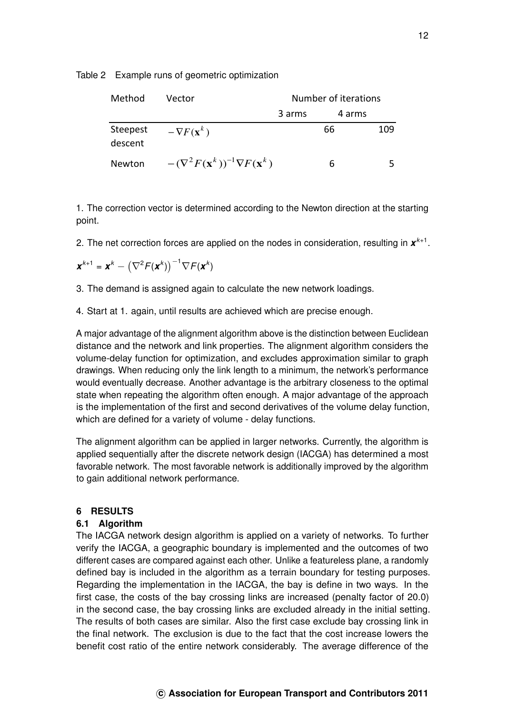<span id="page-12-0"></span>Table 2 Example runs of geometric optimization

| Method              | Vector                                                    | Number of iterations |        |     |
|---------------------|-----------------------------------------------------------|----------------------|--------|-----|
|                     |                                                           | 3 arms               | 4 arms |     |
| Steepest<br>descent | $-\nabla F(\mathbf{x}^k)$                                 |                      | 66     | 109 |
| Newton              | $-(\nabla^2 F(\mathbf{x}^k))^{-1} \nabla F(\mathbf{x}^k)$ |                      | 6      |     |

1. The correction vector is determined according to the Newton direction at the starting point.

2. The net correction forces are applied on the nodes in consideration, resulting in  $x^{k+1}$ .

$$
\mathbf{x}^{k+1} = \mathbf{x}^k - \left(\nabla^2 F(\mathbf{x}^k)\right)^{-1} \nabla F(\mathbf{x}^k)
$$

3. The demand is assigned again to calculate the new network loadings.

4. Start at 1. again, until results are achieved which are precise enough.

A major advantage of the alignment algorithm above is the distinction between Euclidean distance and the network and link properties. The alignment algorithm considers the volume-delay function for optimization, and excludes approximation similar to graph drawings. When reducing only the link length to a minimum, the network's performance would eventually decrease. Another advantage is the arbitrary closeness to the optimal state when repeating the algorithm often enough. A major advantage of the approach is the implementation of the first and second derivatives of the volume delay function, which are defined for a variety of volume - delay functions.

The alignment algorithm can be applied in larger networks. Currently, the algorithm is applied sequentially after the discrete network design (IACGA) has determined a most favorable network. The most favorable network is additionally improved by the algorithm to gain additional network performance.

# **6 RESULTS**

# **6.1 Algorithm**

The IACGA network design algorithm is applied on a variety of networks. To further verify the IACGA, a geographic boundary is implemented and the outcomes of two different cases are compared against each other. Unlike a featureless plane, a randomly defined bay is included in the algorithm as a terrain boundary for testing purposes. Regarding the implementation in the IACGA, the bay is define in two ways. In the first case, the costs of the bay crossing links are increased (penalty factor of 20.0) in the second case, the bay crossing links are excluded already in the initial setting. The results of both cases are similar. Also the first case exclude bay crossing link in the final network. The exclusion is due to the fact that the cost increase lowers the benefit cost ratio of the entire network considerably. The average difference of the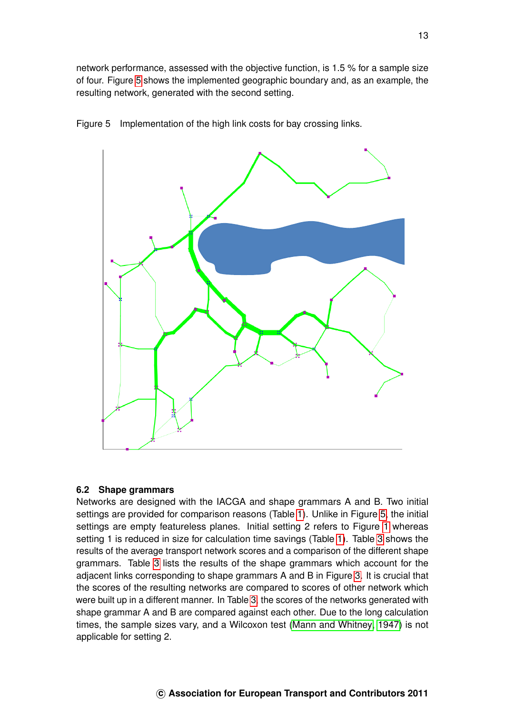network performance, assessed with the objective function, is 1.5 % for a sample size of four. Figure [5](#page-13-0) shows the implemented geographic boundary and, as an example, the resulting network, generated with the second setting.



<span id="page-13-0"></span>Figure 5 Implementation of the high link costs for bay crossing links.

## **6.2 Shape grammars**

Networks are designed with the IACGA and shape grammars A and B. Two initial settings are provided for comparison reasons (Table [1\)](#page-8-0). Unlike in Figure [5,](#page-13-0) the initial settings are empty featureless planes. Initial setting 2 refers to Figure [1](#page-4-0) whereas setting 1 is reduced in size for calculation time savings (Table [1\)](#page-8-0). Table [3](#page-14-0) shows the results of the average transport network scores and a comparison of the different shape grammars. Table [3](#page-14-0) lists the results of the shape grammars which account for the adjacent links corresponding to shape grammars A and B in Figure [3.](#page-9-0) It is crucial that the scores of the resulting networks are compared to scores of other network which were built up in a different manner. In Table [3,](#page-14-0) the scores of the networks generated with shape grammar A and B are compared against each other. Due to the long calculation times, the sample sizes vary, and a Wilcoxon test [\(Mann and Whitney, 1947\)](#page-17-14) is not applicable for setting 2.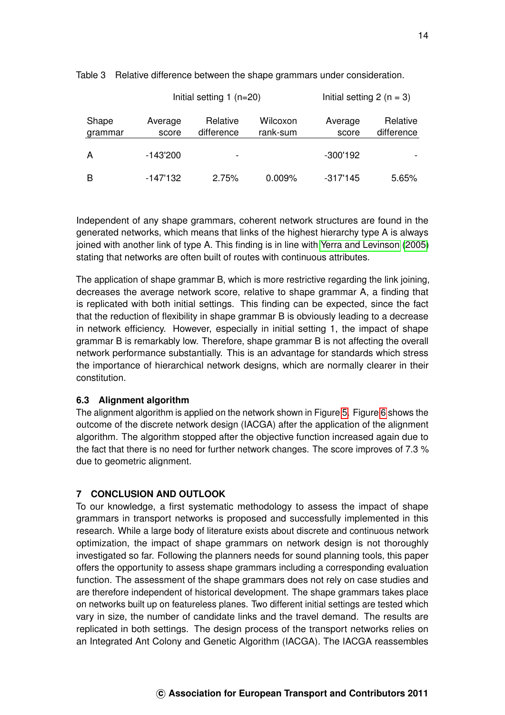|                  |                  | Initial setting $1$ (n=20) | Initial setting $2(n = 3)$ |                  |                        |
|------------------|------------------|----------------------------|----------------------------|------------------|------------------------|
| Shape<br>grammar | Average<br>score | Relative<br>difference     | Wilcoxon<br>rank-sum       | Average<br>score | Relative<br>difference |
| A                | $-143'200$       | $\overline{\phantom{a}}$   |                            | $-300'192$       |                        |
| В                | $-147'132$       | 2.75%                      | 0.009%                     | -317'145         | 5.65%                  |

<span id="page-14-0"></span>Table 3 Relative difference between the shape grammars under consideration.

Independent of any shape grammars, coherent network structures are found in the generated networks, which means that links of the highest hierarchy type A is always joined with another link of type A. This finding is in line with [Yerra and Levinson](#page-18-3) [\(2005\)](#page-18-3) stating that networks are often built of routes with continuous attributes.

The application of shape grammar B, which is more restrictive regarding the link joining, decreases the average network score, relative to shape grammar A, a finding that is replicated with both initial settings. This finding can be expected, since the fact that the reduction of flexibility in shape grammar B is obviously leading to a decrease in network efficiency. However, especially in initial setting 1, the impact of shape grammar B is remarkably low. Therefore, shape grammar B is not affecting the overall network performance substantially. This is an advantage for standards which stress the importance of hierarchical network designs, which are normally clearer in their constitution.

#### **6.3 Alignment algorithm**

The alignment algorithm is applied on the network shown in Figure [5.](#page-13-0) Figure [6](#page-15-0) shows the outcome of the discrete network design (IACGA) after the application of the alignment algorithm. The algorithm stopped after the objective function increased again due to the fact that there is no need for further network changes. The score improves of 7.3 % due to geometric alignment.

#### **7 CONCLUSION AND OUTLOOK**

To our knowledge, a first systematic methodology to assess the impact of shape grammars in transport networks is proposed and successfully implemented in this research. While a large body of literature exists about discrete and continuous network optimization, the impact of shape grammars on network design is not thoroughly investigated so far. Following the planners needs for sound planning tools, this paper offers the opportunity to assess shape grammars including a corresponding evaluation function. The assessment of the shape grammars does not rely on case studies and are therefore independent of historical development. The shape grammars takes place on networks built up on featureless planes. Two different initial settings are tested which vary in size, the number of candidate links and the travel demand. The results are replicated in both settings. The design process of the transport networks relies on an Integrated Ant Colony and Genetic Algorithm (IACGA). The IACGA reassembles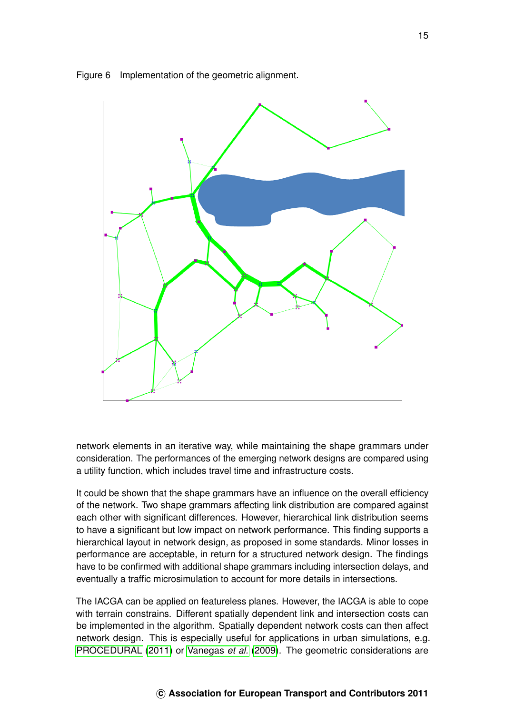

<span id="page-15-0"></span>Figure 6 Implementation of the geometric alignment.

network elements in an iterative way, while maintaining the shape grammars under consideration. The performances of the emerging network designs are compared using a utility function, which includes travel time and infrastructure costs.

It could be shown that the shape grammars have an influence on the overall efficiency of the network. Two shape grammars affecting link distribution are compared against each other with significant differences. However, hierarchical link distribution seems to have a significant but low impact on network performance. This finding supports a hierarchical layout in network design, as proposed in some standards. Minor losses in performance are acceptable, in return for a structured network design. The findings have to be confirmed with additional shape grammars including intersection delays, and eventually a traffic microsimulation to account for more details in intersections.

The IACGA can be applied on featureless planes. However, the IACGA is able to cope with terrain constrains. Different spatially dependent link and intersection costs can be implemented in the algorithm. Spatially dependent network costs can then affect network design. This is especially useful for applications in urban simulations, e.g. [PROCEDURAL](#page-17-8) [\(2011\)](#page-17-8) or [Vanegas](#page-17-7) *et al.* [\(2009\)](#page-17-7). The geometric considerations are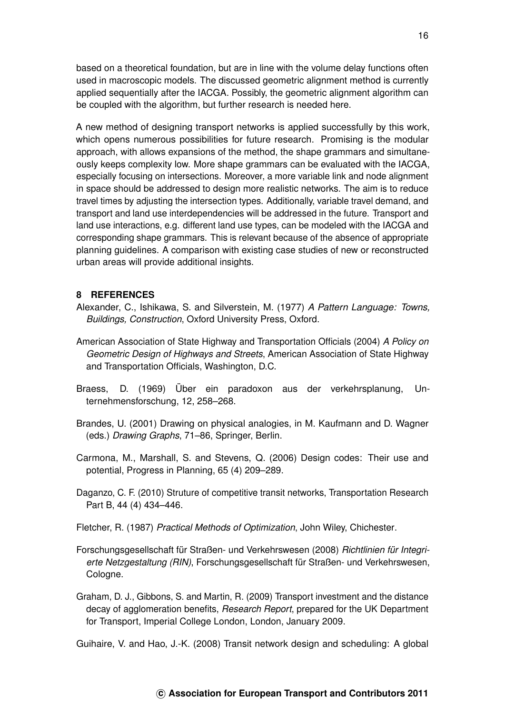based on a theoretical foundation, but are in line with the volume delay functions often used in macroscopic models. The discussed geometric alignment method is currently applied sequentially after the IACGA. Possibly, the geometric alignment algorithm can be coupled with the algorithm, but further research is needed here.

A new method of designing transport networks is applied successfully by this work, which opens numerous possibilities for future research. Promising is the modular approach, with allows expansions of the method, the shape grammars and simultaneously keeps complexity low. More shape grammars can be evaluated with the IACGA, especially focusing on intersections. Moreover, a more variable link and node alignment in space should be addressed to design more realistic networks. The aim is to reduce travel times by adjusting the intersection types. Additionally, variable travel demand, and transport and land use interdependencies will be addressed in the future. Transport and land use interactions, e.g. different land use types, can be modeled with the IACGA and corresponding shape grammars. This is relevant because of the absence of appropriate planning guidelines. A comparison with existing case studies of new or reconstructed urban areas will provide additional insights.

## **8 REFERENCES**

- <span id="page-16-3"></span>Alexander, C., Ishikawa, S. and Silverstein, M. (1977) *A Pattern Language: Towns, Buildings, Construction*, Oxford University Press, Oxford.
- <span id="page-16-4"></span>American Association of State Highway and Transportation Officials (2004) *A Policy on Geometric Design of Highways and Streets*, American Association of State Highway and Transportation Officials, Washington, D.C.
- <span id="page-16-7"></span>Braess, D. (1969) Über ein paradoxon aus der verkehrsplanung, Unternehmensforschung, 12, 258–268.
- <span id="page-16-8"></span>Brandes, U. (2001) Drawing on physical analogies, in M. Kaufmann and D. Wagner (eds.) *Drawing Graphs*, 71–86, Springer, Berlin.
- <span id="page-16-6"></span>Carmona, M., Marshall, S. and Stevens, Q. (2006) Design codes: Their use and potential, Progress in Planning, 65 (4) 209–289.
- <span id="page-16-2"></span>Daganzo, C. F. (2010) Struture of competitive transit networks, Transportation Research Part B, 44 (4) 434–446.

<span id="page-16-9"></span>Fletcher, R. (1987) *Practical Methods of Optimization*, John Wiley, Chichester.

- <span id="page-16-5"></span>Forschungsgesellschaft für Straßen- und Verkehrswesen (2008) *Richtlinien für Integrierte Netzgestaltung (RIN)*, Forschungsgesellschaft für Straßen- und Verkehrswesen, Cologne.
- <span id="page-16-0"></span>Graham, D. J., Gibbons, S. and Martin, R. (2009) Transport investment and the distance decay of agglomeration benefits, *Research Report*, prepared for the UK Department for Transport, Imperial College London, London, January 2009.

<span id="page-16-1"></span>Guihaire, V. and Hao, J.-K. (2008) Transit network design and scheduling: A global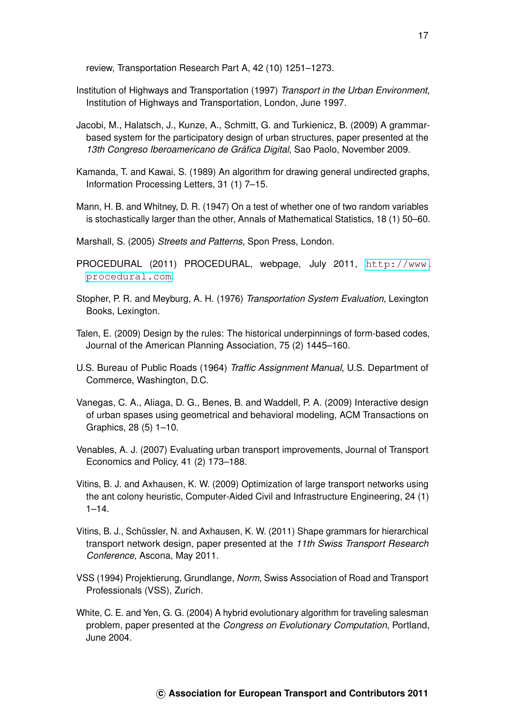review, Transportation Research Part A, 42 (10) 1251–1273.

- <span id="page-17-4"></span>Institution of Highways and Transportation (1997) *Transport in the Urban Environment*, Institution of Highways and Transportation, London, June 1997.
- <span id="page-17-9"></span>Jacobi, M., Halatsch, J., Kunze, A., Schmitt, G. and Turkienicz, B. (2009) A grammarbased system for the participatory design of urban structures, paper presented at the *13th Congreso Iberoamericano de Gráfica Digital*, Sao Paolo, November 2009.
- <span id="page-17-13"></span>Kamanda, T. and Kawai, S. (1989) An algorithm for drawing general undirected graphs, Information Processing Letters, 31 (1) 7–15.
- <span id="page-17-14"></span>Mann, H. B. and Whitney, D. R. (1947) On a test of whether one of two random variables is stochastically larger than the other, Annals of Mathematical Statistics, 18 (1) 50–60.
- <span id="page-17-3"></span>Marshall, S. (2005) *Streets and Patterns*, Spon Press, London.
- <span id="page-17-8"></span>PROCEDURAL (2011) PROCEDURAL, webpage, July 2011, [http://www.](http://www.procedural.com) [procedural.com](http://www.procedural.com).
- <span id="page-17-1"></span>Stopher, P. R. and Meyburg, A. H. (1976) *Transportation System Evaluation*, Lexington Books, Lexington.
- <span id="page-17-6"></span>Talen, E. (2009) Design by the rules: The historical underpinnings of form-based codes, Journal of the American Planning Association, 75 (2) 1445–160.
- <span id="page-17-10"></span>U.S. Bureau of Public Roads (1964) *Traffic Assignment Manual*, U.S. Department of Commerce, Washington, D.C.
- <span id="page-17-7"></span>Vanegas, C. A., Aliaga, D. G., Benes, B. and Waddell, P. A. (2009) Interactive design of urban spases using geometrical and behavioral modeling, ACM Transactions on Graphics, 28 (5) 1–10.
- <span id="page-17-0"></span>Venables, A. J. (2007) Evaluating urban transport improvements, Journal of Transport Economics and Policy, 41 (2) 173–188.
- <span id="page-17-2"></span>Vitins, B. J. and Axhausen, K. W. (2009) Optimization of large transport networks using the ant colony heuristic, Computer-Aided Civil and Infrastructure Engineering, 24 (1)  $1 - 14$
- <span id="page-17-11"></span>Vitins, B. J., Schüssler, N. and Axhausen, K. W. (2011) Shape grammars for hierarchical transport network design, paper presented at the *11th Swiss Transport Research Conference*, Ascona, May 2011.
- <span id="page-17-5"></span>VSS (1994) Projektierung, Grundlange, *Norm*, Swiss Association of Road and Transport Professionals (VSS), Zurich.
- <span id="page-17-12"></span>White, C. E. and Yen, G. G. (2004) A hybrid evolutionary algorithm for traveling salesman problem, paper presented at the *Congress on Evolutionary Computation*, Portland, June 2004.